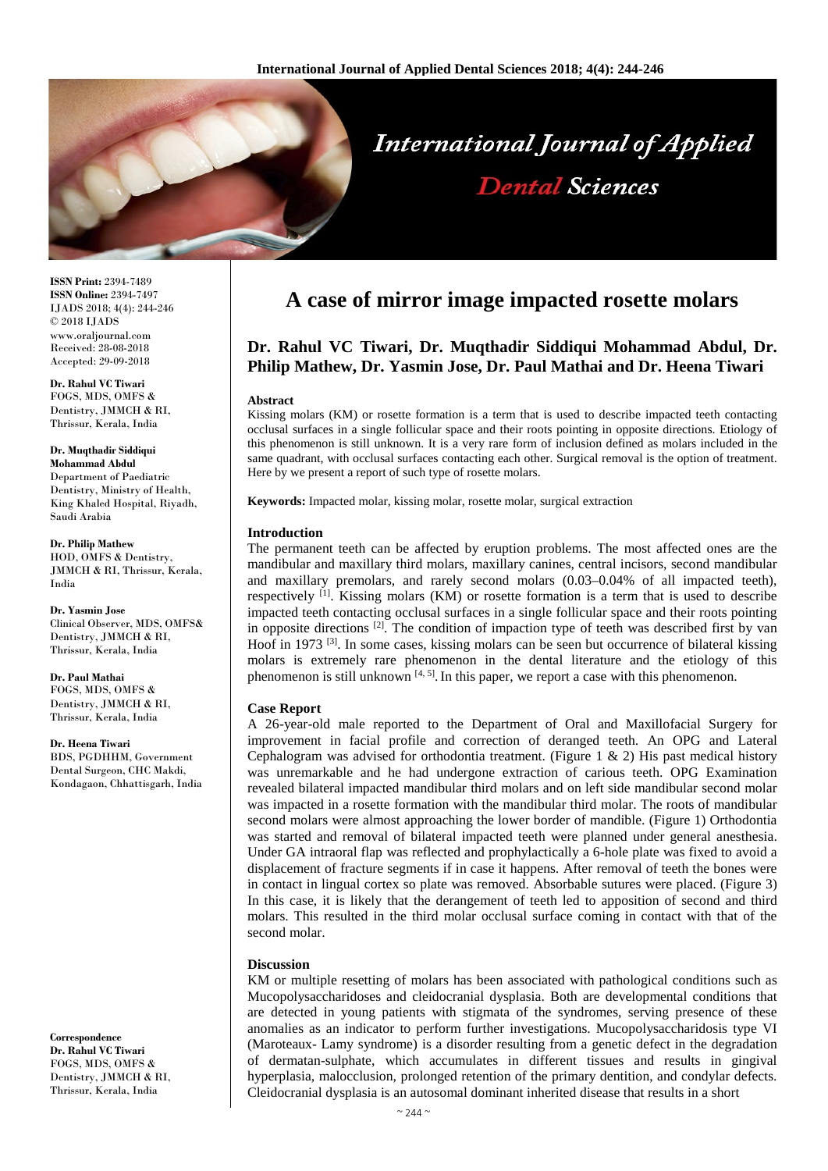

**ISSN Print:** 2394-7489 **ISSN Online:** 2394-7497 IJADS 2018; 4(4): 244-246 © 2018 IJADS www.oraljournal.com Received: 28-08-2018 Accepted: 29-09-2018

**Dr. Rahul VC Tiwari** FOGS, MDS, OMFS & Dentistry, JMMCH & RI, Thrissur, Kerala, India

**Dr. Muqthadir Siddiqui Mohammad Abdul** Department of Paediatric Dentistry, Ministry of Health, King Khaled Hospital, Riyadh, Saudi Arabia

**Dr. Philip Mathew** HOD, OMFS & Dentistry, JMMCH & RI, Thrissur, Kerala, India

**Dr. Yasmin Jose** Clinical Observer, MDS, OMFS& Dentistry, JMMCH & RI, Thrissur, Kerala, India

**Dr. Paul Mathai** FOGS, MDS, OMFS & Dentistry, JMMCH & RI, Thrissur, Kerala, India

**Dr. Heena Tiwari** BDS, PGDHHM, Government Dental Surgeon, CHC Makdi, Kondagaon, Chhattisgarh, India

**Correspondence Dr. Rahul VC Tiwari** FOGS, MDS, OMFS & Dentistry, JMMCH & RI, Thrissur, Kerala, India

# **A case of mirror image impacted rosette molars**

## **Dr. Rahul VC Tiwari, Dr. Muqthadir Siddiqui Mohammad Abdul, Dr. Philip Mathew, Dr. Yasmin Jose, Dr. Paul Mathai and Dr. Heena Tiwari**

#### **Abstract**

Kissing molars (KM) or rosette formation is a term that is used to describe impacted teeth contacting occlusal surfaces in a single follicular space and their roots pointing in opposite directions. Etiology of this phenomenon is still unknown. It is a very rare form of inclusion defined as molars included in the same quadrant, with occlusal surfaces contacting each other. Surgical removal is the option of treatment. Here by we present a report of such type of rosette molars.

**Keywords:** Impacted molar, kissing molar, rosette molar, surgical extraction

#### **Introduction**

The permanent teeth can be affected by eruption problems. The most affected ones are the mandibular and maxillary third molars, maxillary canines, central incisors, second mandibular and maxillary premolars, and rarely second molars (0.03–0.04% of all impacted teeth), respectively [1]. Kissing molars (KM) or rosette formation is a term that is used to describe impacted teeth contacting occlusal surfaces in a single follicular space and their roots pointing in opposite directions  $\left[2\right]$ . The condition of impaction type of teeth was described first by van Hoof in 1973  $^{[3]}$ . In some cases, kissing molars can be seen but occurrence of bilateral kissing molars is extremely rare phenomenon in the dental literature and the etiology of this phenomenon is still unknown  $[4, 5]$ . In this paper, we report a case with this phenomenon.

#### **Case Report**

A 26-year-old male reported to the Department of Oral and Maxillofacial Surgery for improvement in facial profile and correction of deranged teeth. An OPG and Lateral Cephalogram was advised for orthodontia treatment. (Figure 1  $\&$  2) His past medical history was unremarkable and he had undergone extraction of carious teeth. OPG Examination revealed bilateral impacted mandibular third molars and on left side mandibular second molar was impacted in a rosette formation with the mandibular third molar. The roots of mandibular second molars were almost approaching the lower border of mandible. (Figure 1) Orthodontia was started and removal of bilateral impacted teeth were planned under general anesthesia. Under GA intraoral flap was reflected and prophylactically a 6-hole plate was fixed to avoid a displacement of fracture segments if in case it happens. After removal of teeth the bones were in contact in lingual cortex so plate was removed. Absorbable sutures were placed. (Figure 3) In this case, it is likely that the derangement of teeth led to apposition of second and third molars. This resulted in the third molar occlusal surface coming in contact with that of the second molar.

#### **Discussion**

KM or multiple resetting of molars has been associated with pathological conditions such as Mucopolysaccharidoses and cleidocranial dysplasia. Both are developmental conditions that are detected in young patients with stigmata of the syndromes, serving presence of these anomalies as an indicator to perform further investigations. Mucopolysaccharidosis type VI (Maroteaux- Lamy syndrome) is a disorder resulting from a genetic defect in the degradation of dermatan-sulphate, which accumulates in different tissues and results in gingival hyperplasia, malocclusion, prolonged retention of the primary dentition, and condylar defects. Cleidocranial dysplasia is an autosomal dominant inherited disease that results in a short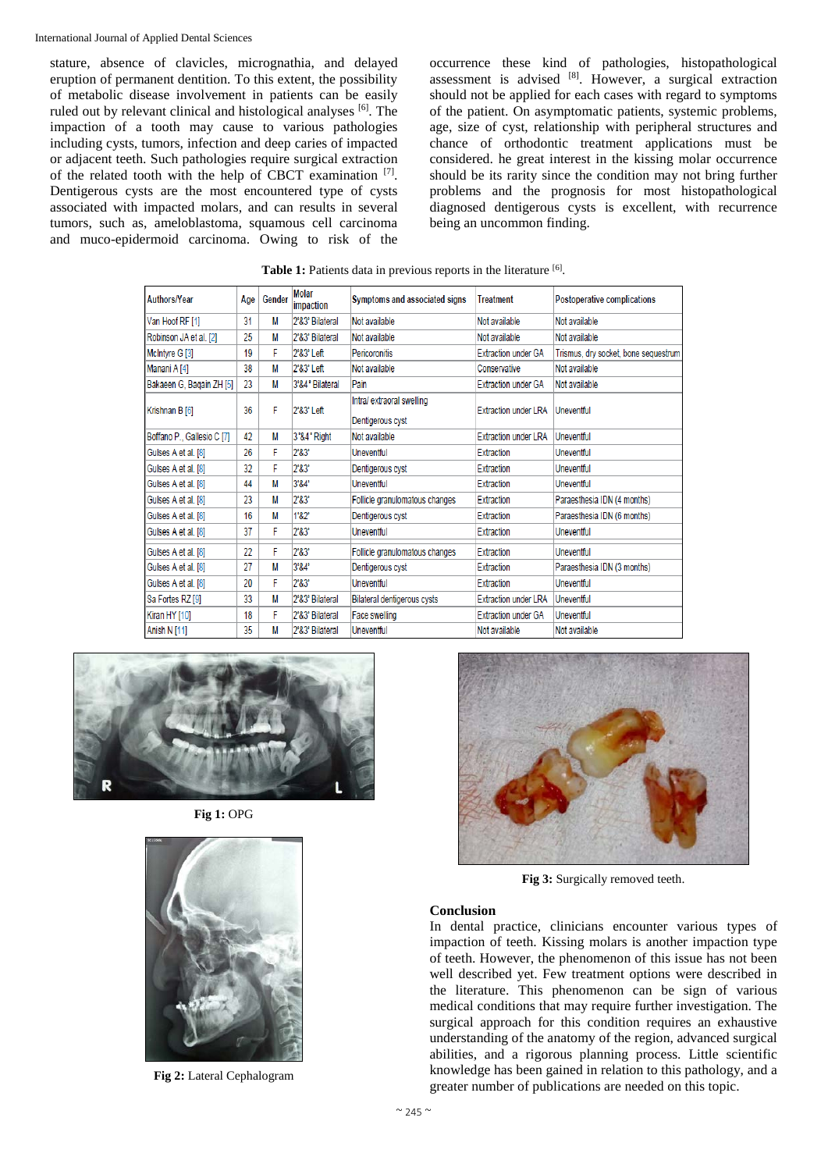stature, absence of clavicles, micrognathia, and delayed eruption of permanent dentition. To this extent, the possibility of metabolic disease involvement in patients can be easily ruled out by relevant clinical and histological analyses [6]. The impaction of a tooth may cause to various pathologies including cysts, tumors, infection and deep caries of impacted or adjacent teeth. Such pathologies require surgical extraction of the related tooth with the help of CBCT examination [7]. Dentigerous cysts are the most encountered type of cysts associated with impacted molars, and can results in several tumors, such as, ameloblastoma, squamous cell carcinoma and muco-epidermoid carcinoma. Owing to risk of the

occurrence these kind of pathologies, histopathological assessment is advised  $[8]$ . However, a surgical extraction should not be applied for each cases with regard to symptoms of the patient. On asymptomatic patients, systemic problems, age, size of cyst, relationship with peripheral structures and chance of orthodontic treatment applications must be considered. he great interest in the kissing molar occurrence should be its rarity since the condition may not bring further problems and the prognosis for most histopathological diagnosed dentigerous cysts is excellent, with recurrence being an uncommon finding.

| Authors/Year               | Age | Gender | <b>Molar</b><br>impaction | Symptoms and associated signs                | <b>Treatment</b>            | Postoperative complications          |
|----------------------------|-----|--------|---------------------------|----------------------------------------------|-----------------------------|--------------------------------------|
| Van Hoof RF [1]            | 31  | М      | 2°&3° Bilateral           | Not available                                | Not available               | Not available                        |
| Robinson JA et al. [2]     | 25  | М      | 2°&3° Bilateral           | Not available                                | Not available               | Not available                        |
| McIntyre G [3]             | 19  | F      | 2°&3° Left                | Pericoronitis                                | <b>Extraction under GA</b>  | Trismus, dry socket, bone sequestrum |
| Manani A [4]               | 38  | М      | 2°&3° Left                | Not available                                | Conservative                | Not available                        |
| Bakaeen G, Bagain ZH [5]   | 23  | М      | 3°&4° Bilateral           | Pain                                         | <b>Extraction under GA</b>  | Not available                        |
| Krishnan B [6]             | 36  | F      | 2°&3° Left                | Intra/extraoral swelling<br>Dentigerous cyst | <b>Extraction under LRA</b> | Uneventful                           |
| Boffano P., Gallesio C [7] | 42  | М      | 3°&4° Right               | Not available                                | <b>Extraction under LRA</b> | Uneventful                           |
| Gulses A et al. [8]        | 26  | F      | 2°83"                     | Uneventful                                   | Extraction                  | Uneventful                           |
| Gulses A et al. [8]        | 32  | F      | 2°83"                     | Dentigerous cyst                             | Extraction                  | Uneventful                           |
| Gulses A et al. [8]        | 44  | М      | $3^{\circ}84^{\circ}$     | Uneventful                                   | Extraction                  | Uneventful                           |
| Gulses A et al. [8]        | 23  | М      | 283                       | Follicle granulomatous changes               | Extraction                  | Paraesthesia IDN (4 months)          |
| Gulses A et al. [8]        | 16  | М      | 1°&2°                     | Dentigerous cyst                             | Extraction                  | Paraesthesia IDN (6 months)          |
| Gulses A et al. [8]        | 37  | F      | 2°83°                     | Uneventful                                   | Extraction                  | Uneventful                           |
| Gulses A et al. [8]        | 22  | F      | 283                       | Follicle granulomatous changes               | Extraction                  | Uneventful                           |
| Gulses A et al. [8]        | 27  | М      | 3°&4°                     | Dentigerous cyst                             | Extraction                  | Paraesthesia IDN (3 months)          |
| Gulses A et al. [8]        | 20  | F      | 2°83°                     | Uneventful                                   | Extraction                  | Uneventful                           |
| Sa Fortes RZ [9]           | 33  | М      | 2°&3° Bilateral           | Bilateral dentigerous cysts                  | <b>Extraction under LRA</b> | <b>Uneventful</b>                    |
| Kiran HY [10]              | 18  | F      | 2°&3° Bilateral           | Face swelling                                | <b>Extraction under GA</b>  | Uneventful                           |
| Anish N [11]               | 35  | М      | 2°&3° Bilateral           | Uneventful                                   | Not available               | Not available                        |

**Table 1:** Patients data in previous reports in the literature [6].



**Fig 1:** OPG



**Fig 2:** Lateral Cephalogram



**Fig 3:** Surgically removed teeth.

### **Conclusion**

In dental practice, clinicians encounter various types of impaction of teeth. Kissing molars is another impaction type of teeth. However, the phenomenon of this issue has not been well described yet. Few treatment options were described in the literature. This phenomenon can be sign of various medical conditions that may require further investigation. The surgical approach for this condition requires an exhaustive understanding of the anatomy of the region, advanced surgical abilities, and a rigorous planning process. Little scientific knowledge has been gained in relation to this pathology, and a greater number of publications are needed on this topic.